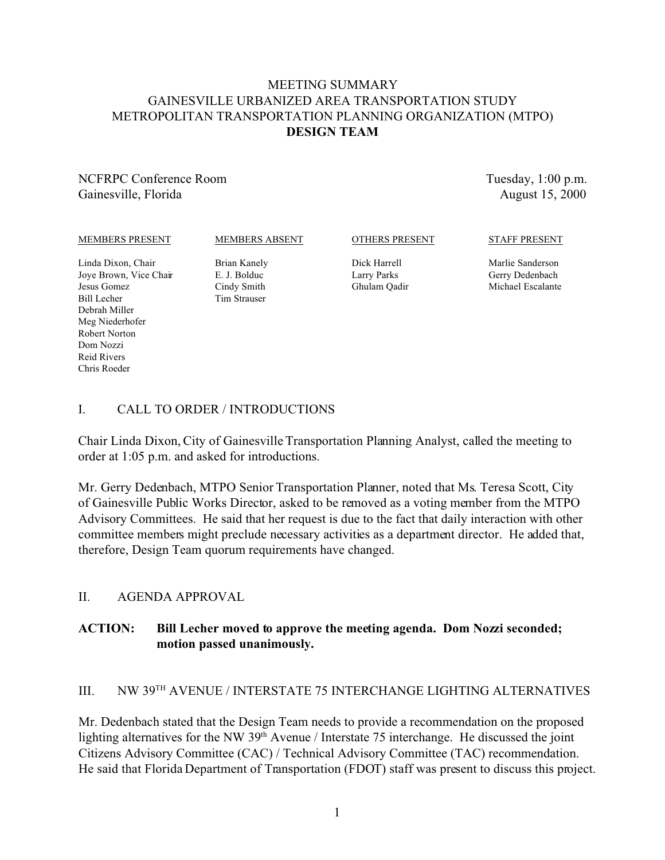# MEETING SUMMARY GAINESVILLE URBANIZED AREA TRANSPORTATION STUDY METROPOLITAN TRANSPORTATION PLANNING ORGANIZATION (MTPO) **DESIGN TEAM**

NCFRPC Conference Room Gainesville, Florida

Tuesday, 1:00 p.m. August 15, 2000

#### MEMBERS PRESENT

MEMBERS ABSENT

#### OTHERS PRESENT

Dick Harrell Larry Parks Ghulam Qadir STAFF PRESENT

Linda Dixon, Chair Joye Brown, Vice Chair Jesus Gomez Bill Lecher Debrah Miller Meg Niederhofer Robert Norton Dom Nozzi Reid Rivers Chris Roeder

Brian Kanely E. J. Bolduc Cindy Smith Tim Strauser

Marlie Sanderson Gerry Dedenbach Michael Escalante

# I. CALL TO ORDER / INTRODUCTIONS

Chair Linda Dixon, City of Gainesville Transportation Planning Analyst, called the meeting to order at 1:05 p.m. and asked for introductions.

Mr. Gerry Dedenbach, MTPO Senior Transportation Planner, noted that Ms. Teresa Scott, City of Gainesville Public Works Director, asked to be removed as a voting member from the MTPO Advisory Committees. He said that her request is due to the fact that daily interaction with other committee members might preclude necessary activities as a department director. He added that, therefore, Design Team quorum requirements have changed.

# II. AGENDA APPROVAL

# **ACTION: Bill Lecher moved to approve the meeting agenda. Dom Nozzi seconded; motion passed unanimously.**

# III. NW 39TH AVENUE / INTERSTATE 75 INTERCHANGE LIGHTING ALTERNATIVES

Mr. Dedenbach stated that the Design Team needs to provide a recommendation on the proposed lighting alternatives for the NW 39<sup>th</sup> Avenue / Interstate 75 interchange. He discussed the joint Citizens Advisory Committee (CAC) / Technical Advisory Committee (TAC) recommendation. He said that Florida Department of Transportation (FDOT) staff was present to discuss this project.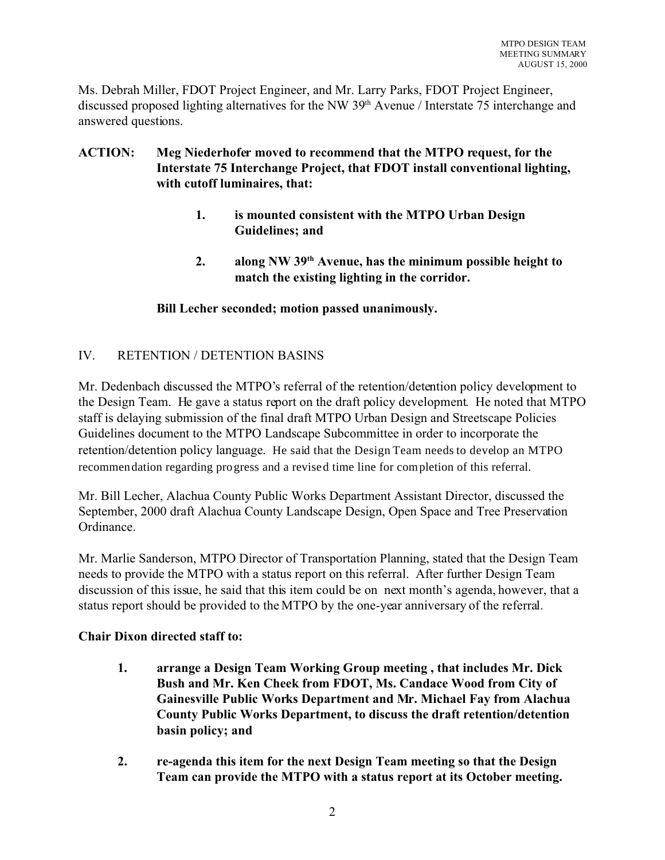Ms. Debrah Miller, FDOT Project Engineer, and Mr. Larry Parks, FDOT Project Engineer, discussed proposed lighting alternatives for the NW 39<sup>th</sup> Avenue / Interstate 75 interchange and answered questions.

# **ACTION: Meg Niederhofer moved to recommend that the MTPO request, for the Interstate 75 Interchange Project, that FDOT install conventional lighting, with cutoff luminaires, that:**

- **1. is mounted consistent with the MTPO Urban Design Guidelines; and**
- **2. along NW 39th Avenue, has the minimum possible height to match the existing lighting in the corridor.**

# **Bill Lecher seconded; motion passed unanimously.**

# IV. RETENTION / DETENTION BASINS

Mr. Dedenbach discussed the MTPO's referral of the retention/detention policy development to the Design Team. He gave a status report on the draft policy development. He noted that MTPO staff is delaying submission of the final draft MTPO Urban Design and Streetscape Policies Guidelines document to the MTPO Landscape Subcommittee in order to incorporate the retention/detention policy language. He said that the Design Team needs to develop an MTPO recommendation regarding progress and a revised time line for completion of this referral.

Mr. Bill Lecher, Alachua County Public Works Department Assistant Director, discussed the September, 2000 draft Alachua County Landscape Design, Open Space and Tree Preservation Ordinance.

Mr. Marlie Sanderson, MTPO Director of Transportation Planning, stated that the Design Team needs to provide the MTPO with a status report on this referral. After further Design Team discussion of this issue, he said that this item could be on next month's agenda, however, that a status report should be provided to the MTPO by the one-year anniversary of the referral.

# **Chair Dixon directed staff to:**

- **1. arrange a Design Team Working Group meeting , that includes Mr. Dick Bush and Mr. Ken Cheek from FDOT, Ms. Candace Wood from City of Gainesville Public Works Department and Mr. Michael Fay from Alachua County Public Works Department, to discuss the draft retention/detention basin policy; and**
- **2. re-agenda this item for the next Design Team meeting so that the Design Team can provide the MTPO with a status report at its October meeting.**